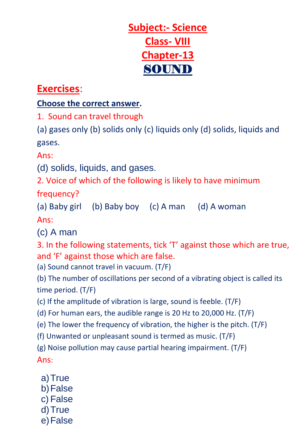

## **Exercises**:

## **Choose the correct answer.**

1. Sound can travel through

(a) gases only (b) solids only (c) liquids only (d) solids, liquids and gases.

Ans:

(d) solids, liquids, and gases.

2. Voice of which of the following is likely to have minimum

frequency?

(a) Baby girl (b) Baby boy (c) A man (d) A woman

Ans:

(c) A man

3. In the following statements, tick 'T' against those which are true, and 'F' against those which are false.

(a) Sound cannot travel in vacuum. (T/F)

(b) The number of oscillations per second of a vibrating object is called its time period. (T/F)

(c) If the amplitude of vibration is large, sound is feeble. (T/F)

(d) For human ears, the audible range is 20 Hz to 20,000 Hz. (T/F)

(e) The lower the frequency of vibration, the higher is the pitch. (T/F)

(f) Unwanted or unpleasant sound is termed as music. (T/F)

(g) Noise pollution may cause partial hearing impairment. (T/F) Ans:

- a)True
- b)False
- c) False
- d)True
- e)False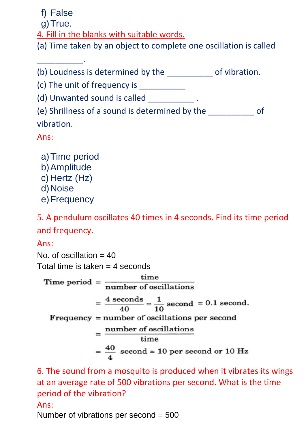f) False

g) True.

\_\_\_\_\_\_\_\_\_\_.

4. Fill in the blanks with suitable words.

(a) Time taken by an object to complete one oscillation is called

(b) Loudness is determined by the \_\_\_\_\_\_\_\_\_\_ of vibration.

(c) The unit of frequency is  $\frac{1}{2}$ 

(d) Unwanted sound is called  $\qquad \qquad .$ 

(e) Shrillness of a sound is determined by the \_\_\_\_\_\_\_\_\_\_\_\_\_ of vibration.

Ans:

- a)Time period
- b)Amplitude
- c) Hertz (Hz)
- d) Noise
- e) Frequency

5. A pendulum oscillates 40 times in 4 seconds. Find its time period and frequency.

Ans:

No. of oscillation  $= 40$ 

Total time is taken  $=$  4 seconds

Time period  $=$   $\frac{\text{time}}{\text{number of oscillations}}$  $=\frac{4 \text{ seconds}}{40}=\frac{1}{10} \text{ second } = 0.1 \text{ second}.$  $Frequency = number of oscillations per second$  $=\frac{\mbox{number of oscillations}}{\mbox{time}}$  $=\frac{40}{4}$  second = 10 per second or 10 Hz

6. The sound from a mosquito is produced when it vibrates its wings at an average rate of 500 vibrations per second. What is the time period of the vibration?

Ans:

Number of vibrations per second = 500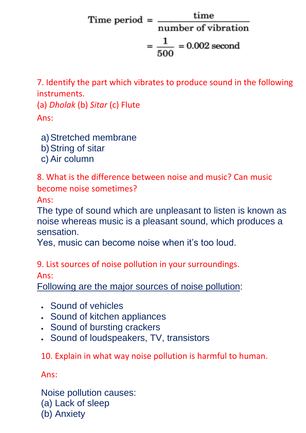Time period =  $\frac{\text{time}}{\text{time}}$ number of vibration  $=\frac{1}{\sqrt{2}}$  = 0.002 second

7. Identify the part which vibrates to produce sound in the following instruments.

(a) *Dholak* (b) *Sitar* (c) Flute Ans:

- a)Stretched membrane
- b)String of sitar
- c) Air column

8. What is the difference between noise and music? Can music become noise sometimes?

Ans:

The type of sound which are unpleasant to listen is known as noise whereas music is a pleasant sound, which produces a sensation.

Yes, music can become noise when it's too loud.

9. List sources of noise pollution in your surroundings. Ans:

Following are the major sources of noise pollution:

- Sound of vehicles
- Sound of kitchen appliances
- Sound of bursting crackers
- Sound of loudspeakers, TV, transistors

10. Explain in what way noise pollution is harmful to human.

Ans:

Noise pollution causes: (a) Lack of sleep (b) Anxiety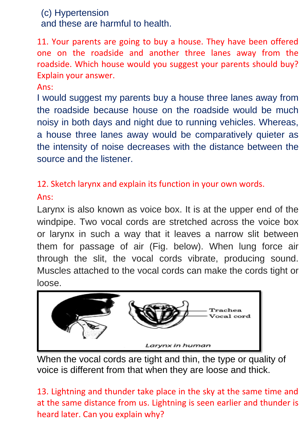## (c) Hypertension

and these are harmful to health.

11. Your parents are going to buy a house. They have been offered one on the roadside and another three lanes away from the roadside. Which house would you suggest your parents should buy? Explain your answer.

Ans:

I would suggest my parents buy a house three lanes away from the roadside because house on the roadside would be much noisy in both days and night due to running vehicles. Whereas, a house three lanes away would be comparatively quieter as the intensity of noise decreases with the distance between the source and the listener.

12. Sketch larynx and explain its function in your own words.

## Ans:

Larynx is also known as voice box. It is at the upper end of the windpipe. Two vocal cords are stretched across the voice box or larynx in such a way that it leaves a narrow slit between them for passage of air (Fig. below). When lung force air through the slit, the vocal cords vibrate, producing sound. Muscles attached to the vocal cords can make the cords tight or loose.



When the vocal cords are tight and thin, the type or quality of voice is different from that when they are loose and thick.

13. Lightning and thunder take place in the sky at the same time and at the same distance from us. Lightning is seen earlier and thunder is heard later. Can you explain why?